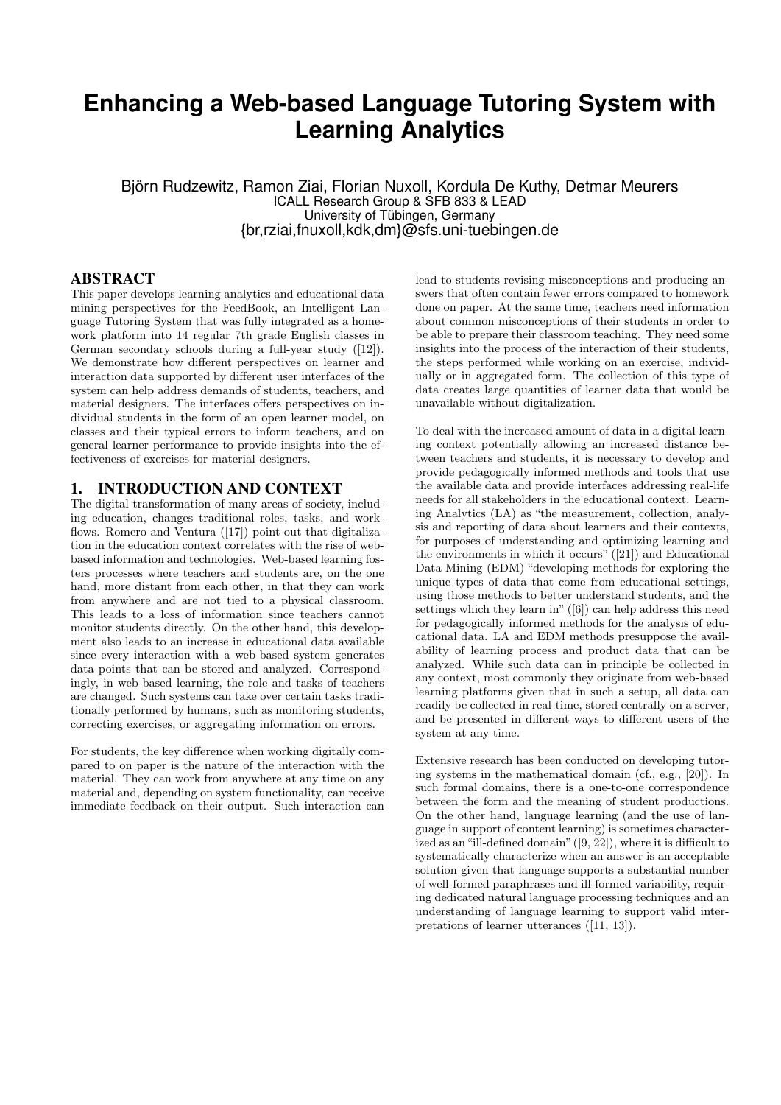# **Enhancing a Web-based Language Tutoring System with Learning Analytics**

Björn Rudzewitz, Ramon Ziai, Florian Nuxoll, Kordula De Kuthy, Detmar Meurers ICALL Research Group & SFB 833 & LEAD University of Tübingen, Germany {br,rziai,fnuxoll,kdk,dm}@sfs.uni-tuebingen.de

#### ABSTRACT

This paper develops learning analytics and educational data mining perspectives for the FeedBook, an Intelligent Language Tutoring System that was fully integrated as a homework platform into 14 regular 7th grade English classes in German secondary schools during a full-year study ([\[12\]](#page-6-0)). We demonstrate how different perspectives on learner and interaction data supported by different user interfaces of the system can help address demands of students, teachers, and material designers. The interfaces offers perspectives on individual students in the form of an open learner model, on classes and their typical errors to inform teachers, and on general learner performance to provide insights into the effectiveness of exercises for material designers.

#### 1. INTRODUCTION AND CONTEXT

The digital transformation of many areas of society, including education, changes traditional roles, tasks, and work-flows. Romero and Ventura ([\[17\]](#page-6-1)) point out that digitalization in the education context correlates with the rise of webbased information and technologies. Web-based learning fosters processes where teachers and students are, on the one hand, more distant from each other, in that they can work from anywhere and are not tied to a physical classroom. This leads to a loss of information since teachers cannot monitor students directly. On the other hand, this development also leads to an increase in educational data available since every interaction with a web-based system generates data points that can be stored and analyzed. Correspondingly, in web-based learning, the role and tasks of teachers are changed. Such systems can take over certain tasks traditionally performed by humans, such as monitoring students, correcting exercises, or aggregating information on errors.

For students, the key difference when working digitally compared to on paper is the nature of the interaction with the material. They can work from anywhere at any time on any material and, depending on system functionality, can receive immediate feedback on their output. Such interaction can

lead to students revising misconceptions and producing answers that often contain fewer errors compared to homework done on paper. At the same time, teachers need information about common misconceptions of their students in order to be able to prepare their classroom teaching. They need some insights into the process of the interaction of their students, the steps performed while working on an exercise, individually or in aggregated form. The collection of this type of data creates large quantities of learner data that would be unavailable without digitalization.

To deal with the increased amount of data in a digital learning context potentially allowing an increased distance between teachers and students, it is necessary to develop and provide pedagogically informed methods and tools that use the available data and provide interfaces addressing real-life needs for all stakeholders in the educational context. Learning Analytics (LA) as "the measurement, collection, analysis and reporting of data about learners and their contexts, for purposes of understanding and optimizing learning and the environments in which it occurs" ([\[21\]](#page-6-2)) and Educational Data Mining (EDM) "developing methods for exploring the unique types of data that come from educational settings, using those methods to better understand students, and the settings which they learn in" ([\[6\]](#page-6-3)) can help address this need for pedagogically informed methods for the analysis of educational data. LA and EDM methods presuppose the availability of learning process and product data that can be analyzed. While such data can in principle be collected in any context, most commonly they originate from web-based learning platforms given that in such a setup, all data can readily be collected in real-time, stored centrally on a server, and be presented in different ways to different users of the system at any time.

Extensive research has been conducted on developing tutoring systems in the mathematical domain (cf., e.g., [\[20\]](#page-6-4)). In such formal domains, there is a one-to-one correspondence between the form and the meaning of student productions. On the other hand, language learning (and the use of language in support of content learning) is sometimes characterized as an "ill-defined domain" ([\[9,](#page-6-5) [22\]](#page-6-6)), where it is difficult to systematically characterize when an answer is an acceptable solution given that language supports a substantial number of well-formed paraphrases and ill-formed variability, requiring dedicated natural language processing techniques and an understanding of language learning to support valid interpretations of learner utterances ([\[11,](#page-6-7) [13\]](#page-6-8)).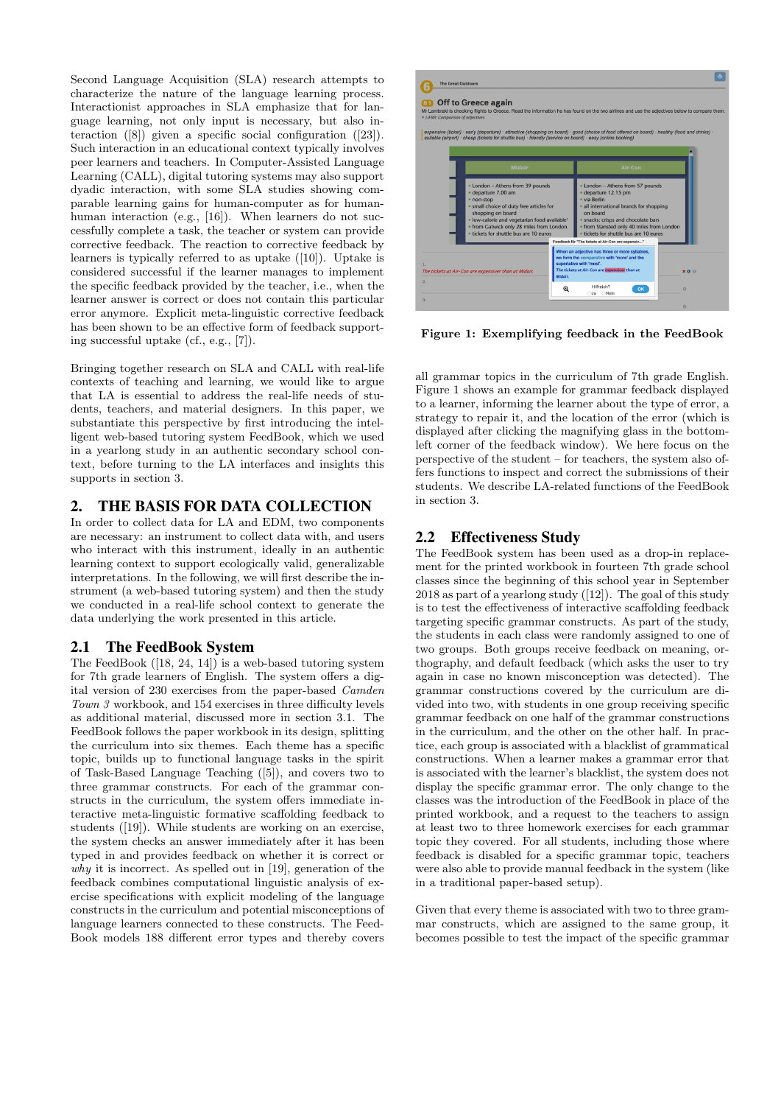Second Language Acquisition (SLA) research attempts to characterize the nature of the language learning process. Interactionist approaches in SLA emphasize that for language learning, not only input is necessary, but also interaction ([\[8\]](#page-6-9)) given a specific social configuration ([\[23\]](#page-6-10)). Such interaction in an educational context typically involves peer learners and teachers. In Computer-Assisted Language Learning (CALL), digital tutoring systems may also support dyadic interaction, with some SLA studies showing comparable learning gains for human-computer as for human-human interaction (e.g., [\[16\]](#page-6-11)). When learners do not successfully complete a task, the teacher or system can provide corrective feedback. The reaction to corrective feedback by learners is typically referred to as uptake ([\[10\]](#page-6-12)). Uptake is considered successful if the learner manages to implement the specific feedback provided by the teacher, i.e., when the learner answer is correct or does not contain this particular error anymore. Explicit meta-linguistic corrective feedback has been shown to be an effective form of feedback supporting successful uptake (cf., e.g., [\[7\]](#page-6-13)).

Bringing together research on SLA and CALL with real-life contexts of teaching and learning, we would like to argue that LA is essential to address the real-life needs of students, teachers, and material designers. In this paper, we substantiate this perspective by first introducing the intelligent web-based tutoring system FeedBook, which we used in a yearlong study in an authentic secondary school context, before turning to the LA interfaces and insights this supports in section [3.](#page-2-0)

# 2. THE BASIS FOR DATA COLLECTION

In order to collect data for LA and EDM, two components are necessary: an instrument to collect data with, and users who interact with this instrument, ideally in an authentic learning context to support ecologically valid, generalizable interpretations. In the following, we will first describe the instrument (a web-based tutoring system) and then the study we conducted in a real-life school context to generate the data underlying the work presented in this article.

#### 2.1 The FeedBook System

The FeedBook ([\[18,](#page-6-14) [24,](#page-6-15) [14\]](#page-6-16)) is a web-based tutoring system for 7th grade learners of English. The system offers a digital version of 230 exercises from the paper-based Camden Town 3 workbook, and 154 exercises in three difficulty levels as additional material, discussed more in section [3.1.](#page-2-1) The FeedBook follows the paper workbook in its design, splitting the curriculum into six themes. Each theme has a specific topic, builds up to functional language tasks in the spirit of Task-Based Language Teaching ([\[5\]](#page-6-17)), and covers two to three grammar constructs. For each of the grammar constructs in the curriculum, the system offers immediate interactive meta-linguistic formative scaffolding feedback to students ([\[19\]](#page-6-18)). While students are working on an exercise, the system checks an answer immediately after it has been typed in and provides feedback on whether it is correct or why it is incorrect. As spelled out in [\[19\]](#page-6-18), generation of the feedback combines computational linguistic analysis of exercise specifications with explicit modeling of the language constructs in the curriculum and potential misconceptions of language learners connected to these constructs. The Feed-Book models 188 different error types and thereby covers



<span id="page-1-0"></span>Figure 1: Exemplifying feedback in the FeedBook

all grammar topics in the curriculum of 7th grade English. Figure [1](#page-1-0) shows an example for grammar feedback displayed to a learner, informing the learner about the type of error, a strategy to repair it, and the location of the error (which is displayed after clicking the magnifying glass in the bottomleft corner of the feedback window). We here focus on the perspective of the student – for teachers, the system also offers functions to inspect and correct the submissions of their students. We describe LA-related functions of the FeedBook in section [3.](#page-2-0)

## 2.2 Effectiveness Study

The FeedBook system has been used as a drop-in replacement for the printed workbook in fourteen 7th grade school classes since the beginning of this school year in September 2018 as part of a yearlong study ([\[12\]](#page-6-0)). The goal of this study is to test the effectiveness of interactive scaffolding feedback targeting specific grammar constructs. As part of the study, the students in each class were randomly assigned to one of two groups. Both groups receive feedback on meaning, orthography, and default feedback (which asks the user to try again in case no known misconception was detected). The grammar constructions covered by the curriculum are divided into two, with students in one group receiving specific grammar feedback on one half of the grammar constructions in the curriculum, and the other on the other half. In practice, each group is associated with a blacklist of grammatical constructions. When a learner makes a grammar error that is associated with the learner's blacklist, the system does not display the specific grammar error. The only change to the classes was the introduction of the FeedBook in place of the printed workbook, and a request to the teachers to assign at least two to three homework exercises for each grammar topic they covered. For all students, including those where feedback is disabled for a specific grammar topic, teachers were also able to provide manual feedback in the system (like in a traditional paper-based setup).

Given that every theme is associated with two to three grammar constructs, which are assigned to the same group, it becomes possible to test the impact of the specific grammar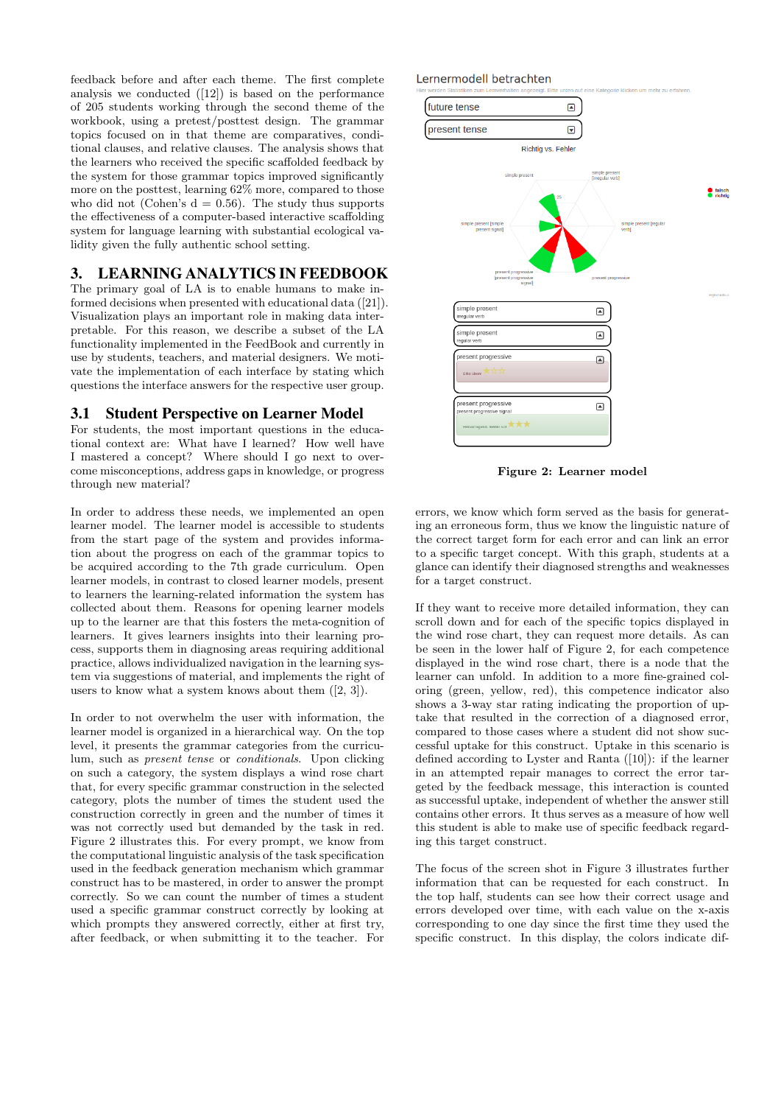feedback before and after each theme. The first complete analysis we conducted ([\[12\]](#page-6-0)) is based on the performance of 205 students working through the second theme of the workbook, using a pretest/posttest design. The grammar topics focused on in that theme are comparatives, conditional clauses, and relative clauses. The analysis shows that the learners who received the specific scaffolded feedback by the system for those grammar topics improved significantly more on the posttest, learning 62% more, compared to those who did not (Cohen's  $d = 0.56$ ). The study thus supports the effectiveness of a computer-based interactive scaffolding system for language learning with substantial ecological validity given the fully authentic school setting.

## <span id="page-2-0"></span>3. LEARNING ANALYTICS IN FEEDBOOK

The primary goal of LA is to enable humans to make informed decisions when presented with educational data ([\[21\]](#page-6-2)). Visualization plays an important role in making data interpretable. For this reason, we describe a subset of the LA functionality implemented in the FeedBook and currently in use by students, teachers, and material designers. We motivate the implementation of each interface by stating which questions the interface answers for the respective user group.

#### <span id="page-2-1"></span>3.1 Student Perspective on Learner Model

For students, the most important questions in the educational context are: What have I learned? How well have I mastered a concept? Where should I go next to overcome misconceptions, address gaps in knowledge, or progress through new material?

In order to address these needs, we implemented an open learner model. The learner model is accessible to students from the start page of the system and provides information about the progress on each of the grammar topics to be acquired according to the 7th grade curriculum. Open learner models, in contrast to closed learner models, present to learners the learning-related information the system has collected about them. Reasons for opening learner models up to the learner are that this fosters the meta-cognition of learners. It gives learners insights into their learning process, supports them in diagnosing areas requiring additional practice, allows individualized navigation in the learning system via suggestions of material, and implements the right of users to know what a system knows about them  $([2, 3])$  $([2, 3])$  $([2, 3])$  $([2, 3])$  $([2, 3])$ .

In order to not overwhelm the user with information, the learner model is organized in a hierarchical way. On the top level, it presents the grammar categories from the curriculum, such as present tense or conditionals. Upon clicking on such a category, the system displays a wind rose chart that, for every specific grammar construction in the selected category, plots the number of times the student used the construction correctly in green and the number of times it was not correctly used but demanded by the task in red. Figure [2](#page-2-2) illustrates this. For every prompt, we know from the computational linguistic analysis of the task specification used in the feedback generation mechanism which grammar construct has to be mastered, in order to answer the prompt correctly. So we can count the number of times a student used a specific grammar construct correctly by looking at which prompts they answered correctly, either at first try, after feedback, or when submitting it to the teacher. For

#### Lernermodell betrachten



<span id="page-2-2"></span>Figure 2: Learner model

errors, we know which form served as the basis for generating an erroneous form, thus we know the linguistic nature of the correct target form for each error and can link an error to a specific target concept. With this graph, students at a glance can identify their diagnosed strengths and weaknesses for a target construct.

If they want to receive more detailed information, they can scroll down and for each of the specific topics displayed in the wind rose chart, they can request more details. As can be seen in the lower half of Figure [2,](#page-2-2) for each competence displayed in the wind rose chart, there is a node that the learner can unfold. In addition to a more fine-grained coloring (green, yellow, red), this competence indicator also shows a 3-way star rating indicating the proportion of uptake that resulted in the correction of a diagnosed error, compared to those cases where a student did not show successful uptake for this construct. Uptake in this scenario is defined according to Lyster and Ranta ([\[10\]](#page-6-12)): if the learner in an attempted repair manages to correct the error targeted by the feedback message, this interaction is counted as successful uptake, independent of whether the answer still contains other errors. It thus serves as a measure of how well this student is able to make use of specific feedback regarding this target construct.

The focus of the screen shot in Figure [3](#page-3-0) illustrates further information that can be requested for each construct. In the top half, students can see how their correct usage and errors developed over time, with each value on the x-axis corresponding to one day since the first time they used the specific construct. In this display, the colors indicate dif-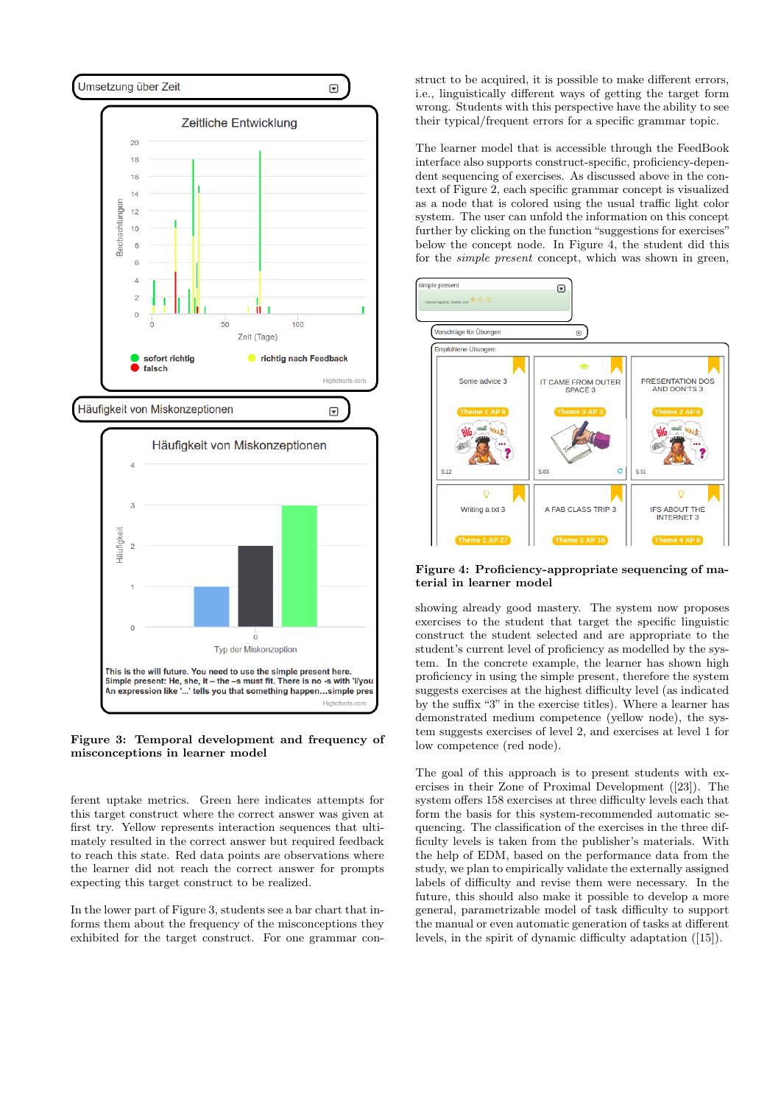

<span id="page-3-0"></span>Figure 3: Temporal development and frequency of misconceptions in learner model

ferent uptake metrics. Green here indicates attempts for this target construct where the correct answer was given at first try. Yellow represents interaction sequences that ultimately resulted in the correct answer but required feedback to reach this state. Red data points are observations where the learner did not reach the correct answer for prompts expecting this target construct to be realized.

In the lower part of Figure [3,](#page-3-0) students see a bar chart that informs them about the frequency of the misconceptions they exhibited for the target construct. For one grammar construct to be acquired, it is possible to make different errors, i.e., linguistically different ways of getting the target form wrong. Students with this perspective have the ability to see their typical/frequent errors for a specific grammar topic.

The learner model that is accessible through the FeedBook interface also supports construct-specific, proficiency-dependent sequencing of exercises. As discussed above in the context of Figure [2,](#page-2-2) each specific grammar concept is visualized as a node that is colored using the usual traffic light color system. The user can unfold the information on this concept further by clicking on the function "suggestions for exercises" below the concept node. In Figure [4,](#page-3-1) the student did this for the simple present concept, which was shown in green,



<span id="page-3-1"></span>Figure 4: Proficiency-appropriate sequencing of material in learner model

showing already good mastery. The system now proposes exercises to the student that target the specific linguistic construct the student selected and are appropriate to the student's current level of proficiency as modelled by the system. In the concrete example, the learner has shown high proficiency in using the simple present, therefore the system suggests exercises at the highest difficulty level (as indicated by the suffix "3" in the exercise titles). Where a learner has demonstrated medium competence (yellow node), the system suggests exercises of level 2, and exercises at level 1 for low competence (red node).

The goal of this approach is to present students with exercises in their Zone of Proximal Development ([\[23\]](#page-6-10)). The system offers 158 exercises at three difficulty levels each that form the basis for this system-recommended automatic sequencing. The classification of the exercises in the three difficulty levels is taken from the publisher's materials. With the help of EDM, based on the performance data from the study, we plan to empirically validate the externally assigned labels of difficulty and revise them were necessary. In the future, this should also make it possible to develop a more general, parametrizable model of task difficulty to support the manual or even automatic generation of tasks at different levels, in the spirit of dynamic difficulty adaptation ([\[15\]](#page-6-21)).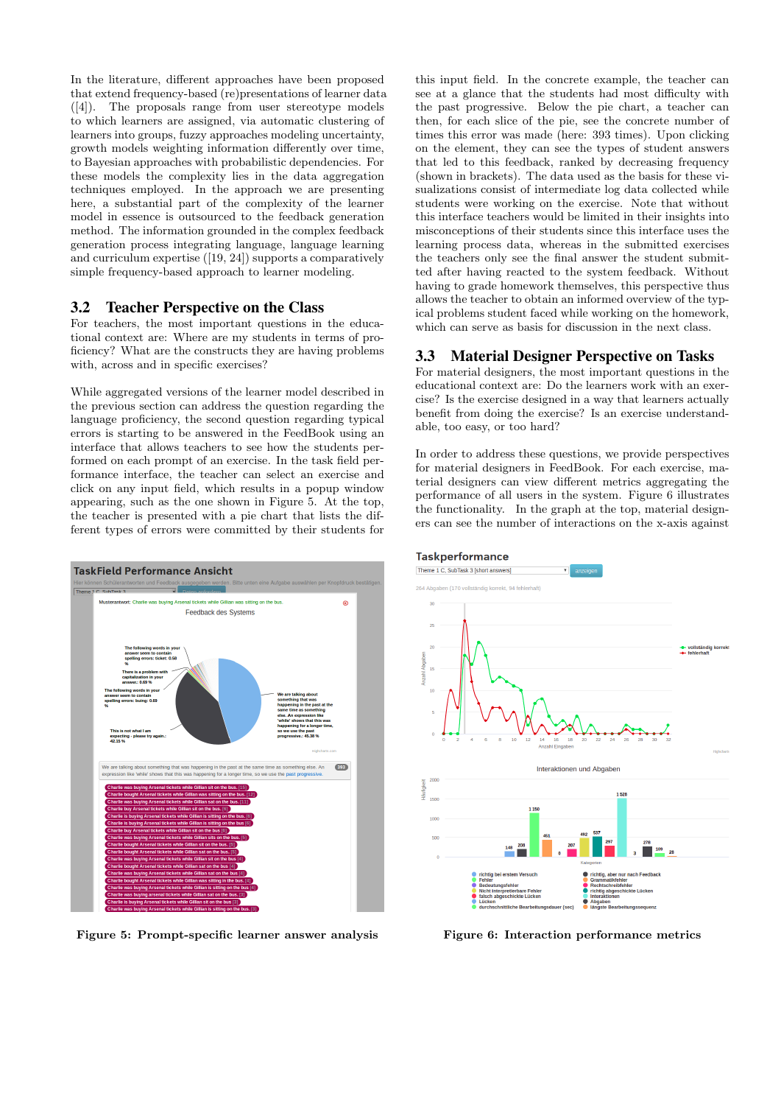In the literature, different approaches have been proposed that extend frequency-based (re)presentations of learner data ([\[4\]](#page-6-22)). The proposals range from user stereotype models to which learners are assigned, via automatic clustering of learners into groups, fuzzy approaches modeling uncertainty, growth models weighting information differently over time, to Bayesian approaches with probabilistic dependencies. For these models the complexity lies in the data aggregation techniques employed. In the approach we are presenting here, a substantial part of the complexity of the learner model in essence is outsourced to the feedback generation method. The information grounded in the complex feedback generation process integrating language, language learning and curriculum expertise ([\[19,](#page-6-18) [24\]](#page-6-15)) supports a comparatively simple frequency-based approach to learner modeling.

#### 3.2 Teacher Perspective on the Class

For teachers, the most important questions in the educational context are: Where are my students in terms of proficiency? What are the constructs they are having problems with, across and in specific exercises?

While aggregated versions of the learner model described in the previous section can address the question regarding the language proficiency, the second question regarding typical errors is starting to be answered in the FeedBook using an interface that allows teachers to see how the students performed on each prompt of an exercise. In the task field performance interface, the teacher can select an exercise and click on any input field, which results in a popup window appearing, such as the one shown in Figure [5.](#page-4-0) At the top, the teacher is presented with a pie chart that lists the different types of errors were committed by their students for



<span id="page-4-0"></span>Figure 5: Prompt-specific learner answer analysis

this input field. In the concrete example, the teacher can see at a glance that the students had most difficulty with the past progressive. Below the pie chart, a teacher can then, for each slice of the pie, see the concrete number of times this error was made (here: 393 times). Upon clicking on the element, they can see the types of student answers that led to this feedback, ranked by decreasing frequency (shown in brackets). The data used as the basis for these visualizations consist of intermediate log data collected while students were working on the exercise. Note that without this interface teachers would be limited in their insights into misconceptions of their students since this interface uses the learning process data, whereas in the submitted exercises the teachers only see the final answer the student submitted after having reacted to the system feedback. Without having to grade homework themselves, this perspective thus allows the teacher to obtain an informed overview of the typical problems student faced while working on the homework, which can serve as basis for discussion in the next class.

# 3.3 Material Designer Perspective on Tasks

For material designers, the most important questions in the educational context are: Do the learners work with an exercise? Is the exercise designed in a way that learners actually benefit from doing the exercise? Is an exercise understandable, too easy, or too hard?

In order to address these questions, we provide perspectives for material designers in FeedBook. For each exercise, material designers can view different metrics aggregating the performance of all users in the system. Figure [6](#page-4-1) illustrates the functionality. In the graph at the top, material designers can see the number of interactions on the x-axis against



<span id="page-4-1"></span>Figure 6: Interaction performance metrics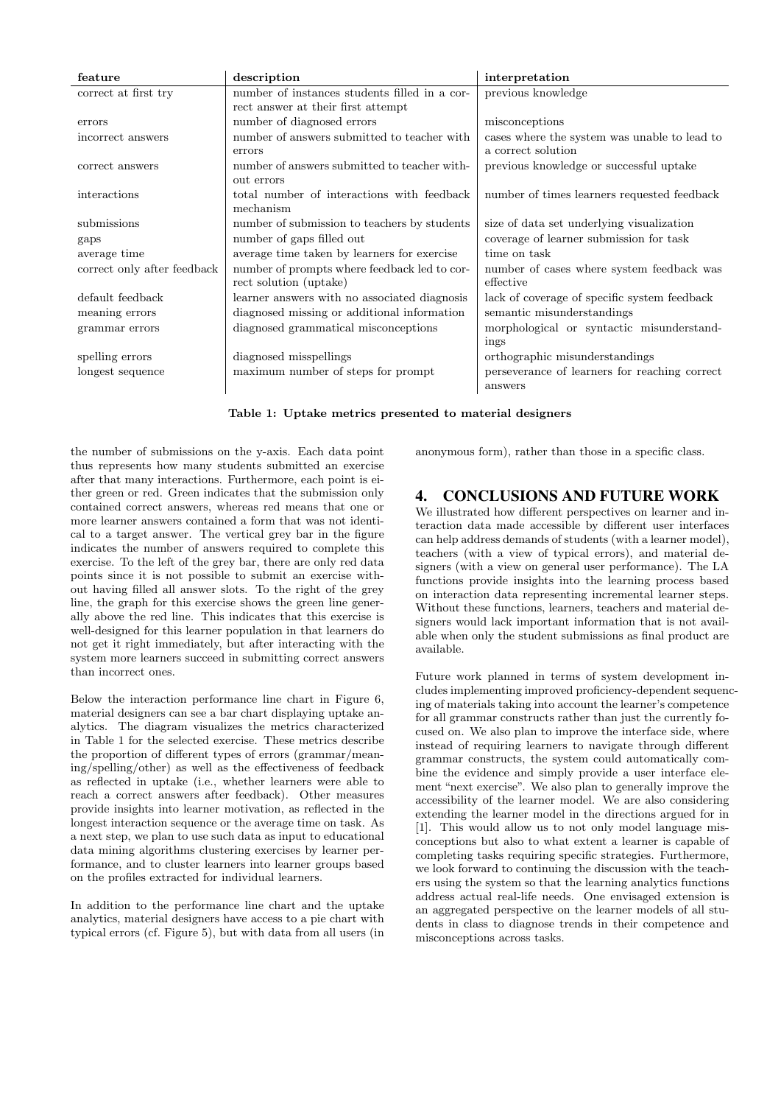| feature                     | description                                   | interpretation                                |
|-----------------------------|-----------------------------------------------|-----------------------------------------------|
| correct at first try        | number of instances students filled in a cor- | previous knowledge                            |
|                             | rect answer at their first attempt            |                                               |
| errors                      | number of diagnosed errors                    | misconceptions                                |
| incorrect answers           | number of answers submitted to teacher with   | cases where the system was unable to lead to  |
|                             | errors                                        | a correct solution                            |
| correct answers             | number of answers submitted to teacher with-  | previous knowledge or successful uptake       |
|                             | out errors                                    |                                               |
| interactions                | total number of interactions with feedback    | number of times learners requested feedback   |
|                             | mechanism                                     |                                               |
| submissions                 | number of submission to teachers by students  | size of data set underlying visualization     |
| gaps                        | number of gaps filled out                     | coverage of learner submission for task       |
| average time                | average time taken by learners for exercise   | time on task                                  |
| correct only after feedback | number of prompts where feedback led to cor-  | number of cases where system feedback was     |
|                             | rect solution (uptake)                        | effective                                     |
| default feedback            | learner answers with no associated diagnosis  | lack of coverage of specific system feedback  |
| meaning errors              | diagnosed missing or additional information   | semantic misunderstandings                    |
| grammar errors              | diagnosed grammatical misconceptions          | morphological or syntactic misunderstand-     |
|                             |                                               | ings                                          |
| spelling errors             | diagnosed misspellings                        | orthographic misunderstandings                |
| longest sequence            | maximum number of steps for prompt            | perseverance of learners for reaching correct |
|                             |                                               | answers                                       |
|                             |                                               |                                               |

<span id="page-5-0"></span>Table 1: Uptake metrics presented to material designers

the number of submissions on the y-axis. Each data point thus represents how many students submitted an exercise after that many interactions. Furthermore, each point is either green or red. Green indicates that the submission only contained correct answers, whereas red means that one or more learner answers contained a form that was not identical to a target answer. The vertical grey bar in the figure indicates the number of answers required to complete this exercise. To the left of the grey bar, there are only red data points since it is not possible to submit an exercise without having filled all answer slots. To the right of the grey line, the graph for this exercise shows the green line generally above the red line. This indicates that this exercise is well-designed for this learner population in that learners do not get it right immediately, but after interacting with the system more learners succeed in submitting correct answers than incorrect ones.

Below the interaction performance line chart in Figure [6,](#page-4-1) material designers can see a bar chart displaying uptake analytics. The diagram visualizes the metrics characterized in Table [1](#page-5-0) for the selected exercise. These metrics describe the proportion of different types of errors (grammar/meaning/spelling/other) as well as the effectiveness of feedback as reflected in uptake (i.e., whether learners were able to reach a correct answers after feedback). Other measures provide insights into learner motivation, as reflected in the longest interaction sequence or the average time on task. As a next step, we plan to use such data as input to educational data mining algorithms clustering exercises by learner performance, and to cluster learners into learner groups based on the profiles extracted for individual learners.

In addition to the performance line chart and the uptake analytics, material designers have access to a pie chart with typical errors (cf. Figure [5\)](#page-4-0), but with data from all users (in anonymous form), rather than those in a specific class.

# 4. CONCLUSIONS AND FUTURE WORK

We illustrated how different perspectives on learner and interaction data made accessible by different user interfaces can help address demands of students (with a learner model), teachers (with a view of typical errors), and material designers (with a view on general user performance). The LA functions provide insights into the learning process based on interaction data representing incremental learner steps. Without these functions, learners, teachers and material designers would lack important information that is not available when only the student submissions as final product are available.

Future work planned in terms of system development includes implementing improved proficiency-dependent sequencing of materials taking into account the learner's competence for all grammar constructs rather than just the currently focused on. We also plan to improve the interface side, where instead of requiring learners to navigate through different grammar constructs, the system could automatically combine the evidence and simply provide a user interface element "next exercise". We also plan to generally improve the accessibility of the learner model. We are also considering extending the learner model in the directions argued for in [\[1\]](#page-6-23). This would allow us to not only model language misconceptions but also to what extent a learner is capable of completing tasks requiring specific strategies. Furthermore, we look forward to continuing the discussion with the teachers using the system so that the learning analytics functions address actual real-life needs. One envisaged extension is an aggregated perspective on the learner models of all students in class to diagnose trends in their competence and misconceptions across tasks.